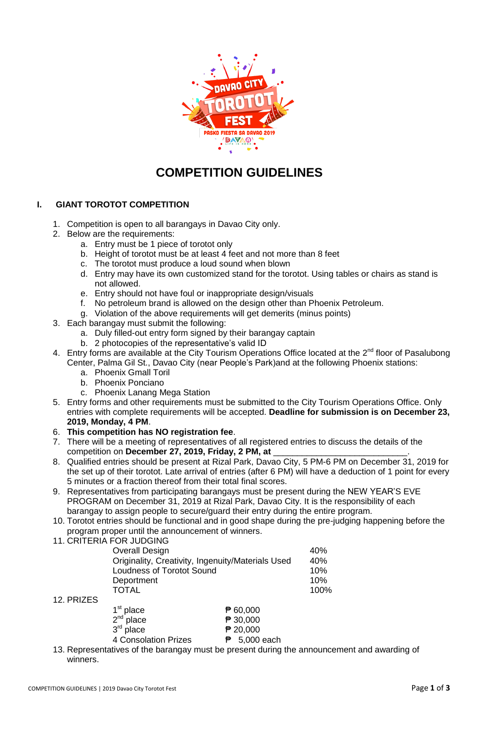

## **COMPETITION GUIDELINES**

## **I. GIANT TOROTOT COMPETITION**

- 1. Competition is open to all barangays in Davao City only.
- 2. Below are the requirements:
	- a. Entry must be 1 piece of torotot only
	- b. Height of torotot must be at least 4 feet and not more than 8 feet
	- c. The torotot must produce a loud sound when blown
	- d. Entry may have its own customized stand for the torotot. Using tables or chairs as stand is not allowed.
	- e. Entry should not have foul or inappropriate design/visuals
	- f. No petroleum brand is allowed on the design other than Phoenix Petroleum.
	- g. Violation of the above requirements will get demerits (minus points)
- 3. Each barangay must submit the following:
	- a. Duly filled-out entry form signed by their barangay captain
	- b. 2 photocopies of the representative's valid ID
- 4. Entry forms are available at the City Tourism Operations Office located at the 2<sup>nd</sup> floor of Pasalubong Center, Palma Gil St., Davao City (near People's Park)and at the following Phoenix stations:
	- a. Phoenix Gmall Toril
	- b. Phoenix Ponciano
	- c. Phoenix Lanang Mega Station
- 5. Entry forms and other requirements must be submitted to the City Tourism Operations Office. Only entries with complete requirements will be accepted. **Deadline for submission is on December 23, 2019, Monday, 4 PM**.
- 6. **This competition has NO registration fee**.
- 7. There will be a meeting of representatives of all registered entries to discuss the details of the competition on December 27, 2019, Friday, 2 PM, at
- 8. Qualified entries should be present at Rizal Park, Davao City, 5 PM-6 PM on December 31, 2019 for the set up of their torotot. Late arrival of entries (after 6 PM) will have a deduction of 1 point for every 5 minutes or a fraction thereof from their total final scores.
- 9. Representatives from participating barangays must be present during the NEW YEAR'S EVE PROGRAM on December 31, 2019 at Rizal Park, Davao City. It is the responsibility of each barangay to assign people to secure/guard their entry during the entire program.
- 10. Torotot entries should be functional and in good shape during the pre-judging happening before the program proper until the announcement of winners.
- 11. CRITERIA FOR JUDGING

| Overall Design                                    | 40%  |
|---------------------------------------------------|------|
| Originality, Creativity, Ingenuity/Materials Used | 40%  |
| <b>Loudness of Torotot Sound</b>                  | 10%  |
| Deportment                                        | 10%  |
| TOTAL                                             | 100% |
|                                                   |      |

12. PRIZES

| $1st$ place                 | $\mathbf{P}$ 60,000       |
|-----------------------------|---------------------------|
| $2nd$ place                 | ₱ 30,000                  |
| $3rd$ place                 | $P$ 20,000                |
| <b>4 Consolation Prizes</b> | $\overline{P}$ 5,000 each |
|                             |                           |

13. Representatives of the barangay must be present during the announcement and awarding of winners.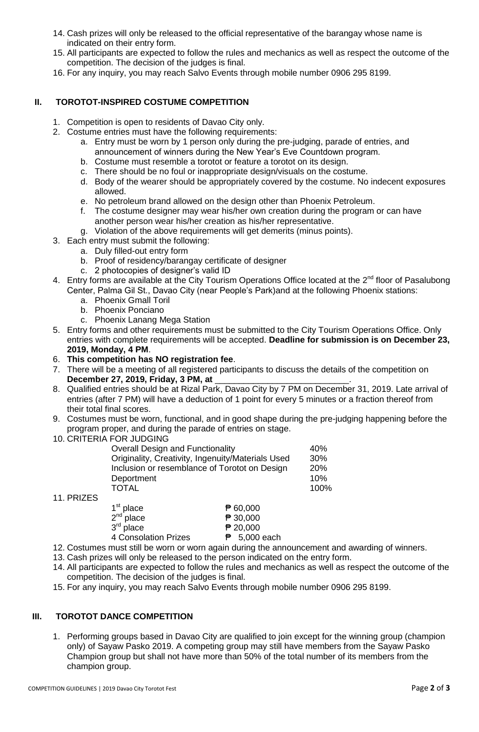- 14. Cash prizes will only be released to the official representative of the barangay whose name is indicated on their entry form.
- 15. All participants are expected to follow the rules and mechanics as well as respect the outcome of the competition. The decision of the judges is final.
- 16. For any inquiry, you may reach Salvo Events through mobile number 0906 295 8199.

## **II. TOROTOT-INSPIRED COSTUME COMPETITION**

- 1. Competition is open to residents of Davao City only.
- 2. Costume entries must have the following requirements:
	- a. Entry must be worn by 1 person only during the pre-judging, parade of entries, and announcement of winners during the New Year's Eve Countdown program.
	- b. Costume must resemble a torotot or feature a torotot on its design.
	- c. There should be no foul or inappropriate design/visuals on the costume.
	- d. Body of the wearer should be appropriately covered by the costume. No indecent exposures allowed.
	- e. No petroleum brand allowed on the design other than Phoenix Petroleum.
	- f. The costume designer may wear his/her own creation during the program or can have another person wear his/her creation as his/her representative.
	- g. Violation of the above requirements will get demerits (minus points).
- 3. Each entry must submit the following:
	- a. Duly filled-out entry form
	- b. Proof of residency/barangay certificate of designer
	- c. 2 photocopies of designer's valid ID
- 4. Entry forms are available at the City Tourism Operations Office located at the  $2^{nd}$  floor of Pasalubong Center, Palma Gil St., Davao City (near People's Park)and at the following Phoenix stations:
	- a. Phoenix Gmall Toril
	- b. Phoenix Ponciano
	- c. Phoenix Lanang Mega Station
- 5. Entry forms and other requirements must be submitted to the City Tourism Operations Office. Only entries with complete requirements will be accepted. **Deadline for submission is on December 23, 2019, Monday, 4 PM**.
- 6. **This competition has NO registration fee**.
- 7. There will be a meeting of all registered participants to discuss the details of the competition on **December 27, 2019, Friday, 3 PM, at** \_\_\_\_\_\_\_\_\_\_\_\_\_\_\_\_\_\_\_\_\_\_\_\_\_\_\_\_.
- 8. Qualified entries should be at Rizal Park, Davao City by 7 PM on December 31, 2019. Late arrival of entries (after 7 PM) will have a deduction of 1 point for every 5 minutes or a fraction thereof from their total final scores.
- 9. Costumes must be worn, functional, and in good shape during the pre-judging happening before the program proper, and during the parade of entries on stage.
- 10. CRITERIA FOR JUDGING

| <b>Overall Design and Functionality</b>                                                            |          |                    |
|----------------------------------------------------------------------------------------------------|----------|--------------------|
| Originality, Creativity, Ingenuity/Materials Used<br>Inclusion or resemblance of Torotot on Design |          |                    |
| Deportment<br><b>TOTAL</b>                                                                         |          | 20%<br>10%<br>100% |
|                                                                                                    | ₱ 60,000 |                    |
| $1st$ place<br>$2nd$ place                                                                         | ₱ 30,000 |                    |

11. PRIZES

 $3<sup>rd</sup>$  place 4 Consolation Prizes **₱ 5,000 each** 

12. Costumes must still be worn or worn again during the announcement and awarding of winners.

 $P$  20,000

- 13. Cash prizes will only be released to the person indicated on the entry form.
- 14. All participants are expected to follow the rules and mechanics as well as respect the outcome of the competition. The decision of the judges is final.
- 15. For any inquiry, you may reach Salvo Events through mobile number 0906 295 8199.

## **III. TOROTOT DANCE COMPETITION**

1. Performing groups based in Davao City are qualified to join except for the winning group (champion only) of Sayaw Pasko 2019. A competing group may still have members from the Sayaw Pasko Champion group but shall not have more than 50% of the total number of its members from the champion group.